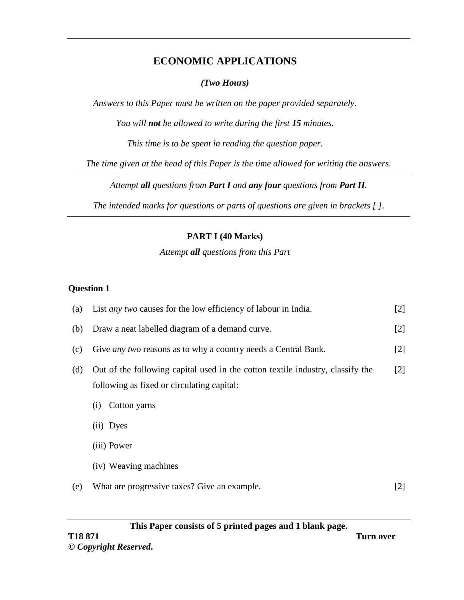## **ECONOMIC APPLICATIONS**

### *(Two Hours)*

*Answers to this Paper must be written on the paper provided separately.*

*You will not be allowed to write during the first 15 minutes.*

*This time is to be spent in reading the question paper.*

*The time given at the head of this Paper is the time allowed for writing the answers.*

*Attempt all questions from Part I and any four questions from Part II.*

*The intended marks for questions or parts of questions are given in brackets [ ].*

### **PART I (40 Marks)**

### *Attempt all questions from this Part*

#### **Question 1**

| (a) | List <i>any two</i> causes for the low efficiency of labour in India.                                                        |                   |  |
|-----|------------------------------------------------------------------------------------------------------------------------------|-------------------|--|
| (b) | Draw a neat labelled diagram of a demand curve.                                                                              | $[2]$             |  |
| (c) | Give <i>any two</i> reasons as to why a country needs a Central Bank.                                                        | $\lceil 2 \rceil$ |  |
| (d) | Out of the following capital used in the cotton textile industry, classify the<br>following as fixed or circulating capital: | [2]               |  |
|     | Cotton yarns<br>(i)                                                                                                          |                   |  |
|     | (ii) Dyes                                                                                                                    |                   |  |
|     | (iii) Power                                                                                                                  |                   |  |
|     | (iv) Weaving machines                                                                                                        |                   |  |
| (e) | What are progressive taxes? Give an example.                                                                                 | [2]               |  |

**This Paper consists of 5 printed pages and 1 blank page. T18 871 Turn over**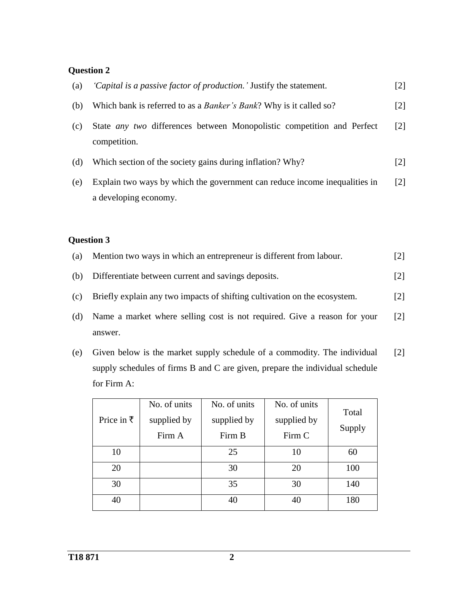# **Question 2**

| (a) | 'Capital is a passive factor of production.' Justify the statement.                                 | $[2]$             |
|-----|-----------------------------------------------------------------------------------------------------|-------------------|
| (b) | Which bank is referred to as a <i>Banker's Bank</i> ? Why is it called so?                          | $\lceil 2 \rceil$ |
| (c) | State any two differences between Monopolistic competition and Perfect<br>competition.              | $\lceil 2 \rceil$ |
| (d) | Which section of the society gains during inflation? Why?                                           | $[2]$             |
| (e) | Explain two ways by which the government can reduce income inequalities in<br>a developing economy. | [2]               |

# **Question 3**

| (a) | Mention two ways in which an entrepreneur is different from labour.       | 121               |
|-----|---------------------------------------------------------------------------|-------------------|
| (b) | Differentiate between current and savings deposits.                       | $\lceil 2 \rceil$ |
| (c) | Briefly explain any two impacts of shifting cultivation on the ecosystem. | $\lceil 2 \rceil$ |
| (d) | Name a market where selling cost is not required. Give a reason for your  | $\lceil 2 \rceil$ |
|     | answer.                                                                   |                   |

(e) Given below is the market supply schedule of a commodity. The individual supply schedules of firms B and C are given, prepare the individual schedule for Firm A: [2]

| Price in $\bar{\tau}$ | No. of units<br>supplied by<br>Firm A | No. of units<br>supplied by<br>Firm B | No. of units<br>supplied by<br>Firm C | Total<br>Supply |
|-----------------------|---------------------------------------|---------------------------------------|---------------------------------------|-----------------|
| 10                    |                                       | 25                                    | 10                                    | 60              |
| 20                    |                                       | 30                                    | 20                                    | 100             |
| 30                    |                                       | 35                                    | 30                                    | 140             |
| 40                    |                                       | 40                                    | 40                                    | 180             |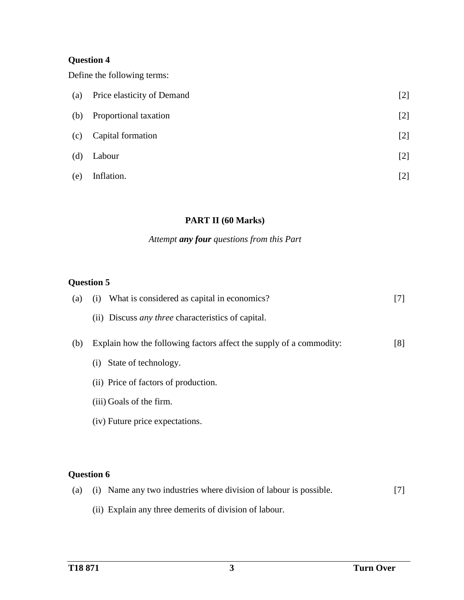## **Question 4**

Define the following terms:

| (a) | Price elasticity of Demand | $[2]$ |
|-----|----------------------------|-------|
| (b) | Proportional taxation      | $[2]$ |
| (c) | Capital formation          | $[2]$ |
| (d) | Labour                     | $[2]$ |
| (e) | Inflation.                 | [2]   |

### **PART II (60 Marks)**

## *Attempt any four questions from this Part*

# **Question 5**

| (a) | What is considered as capital in economics?<br>(i)                  | [7] |
|-----|---------------------------------------------------------------------|-----|
|     | (ii) Discuss <i>any three</i> characteristics of capital.           |     |
| (b) | Explain how the following factors affect the supply of a commodity: | [8] |
|     | State of technology.<br>(i)                                         |     |
|     | (ii) Price of factors of production.                                |     |
|     | (iii) Goals of the firm.                                            |     |
|     | (iv) Future price expectations.                                     |     |
|     |                                                                     |     |
|     |                                                                     |     |
|     | <b>Question 6</b>                                                   |     |
|     |                                                                     |     |

|  | (a) (i) Name any two industries where division of labour is possible. |  |  |  |
|--|-----------------------------------------------------------------------|--|--|--|
|  | (ii) Explain any three demerits of division of labour.                |  |  |  |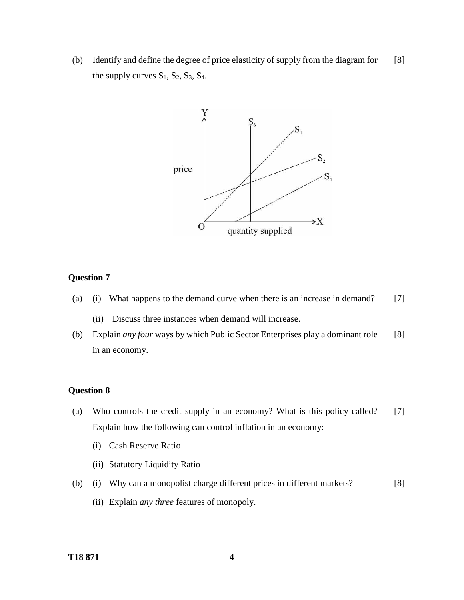(b) Identify and define the degree of price elasticity of supply from the diagram for the supply curves  $S_1$ ,  $S_2$ ,  $S_3$ ,  $S_4$ . [8]



#### **Question 7**

- (a) (i) What happens to the demand curve when there is an increase in demand? [7]
	- (ii) Discuss three instances when demand will increase.
- (b) Explain *any four* ways by which Public Sector Enterprises play a dominant role in an economy. [8]

#### **Question 8**

- (a) Who controls the credit supply in an economy? What is this policy called? Explain how the following can control inflation in an economy: [7]
	- (i) Cash Reserve Ratio
	- (ii) Statutory Liquidity Ratio
- (b) (i) Why can a monopolist charge different prices in different markets? [8]
	- (ii) Explain *any three* features of monopoly.